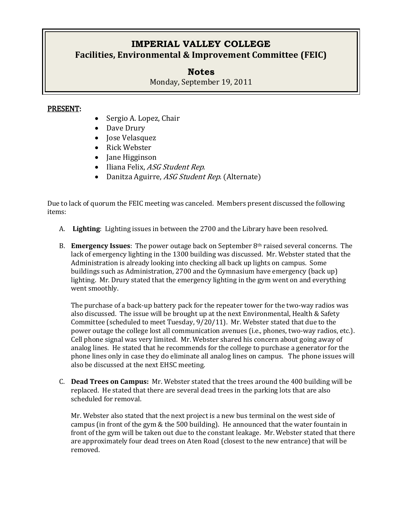# **IMPERIAL VALLEY COLLEGE Facilities, Environmental & Improvement Committee (FEIC)**

## **Notes**

Monday, September 19, 2011

### PRESENT:

- Sergio A. Lopez, Chair
- Dave Drury
- Jose Velasquez
- Rick Webster
- $\bullet$  Jane Higginson
- Iliana Felix, ASG Student Rep.
- Danitza Aguirre, ASG Student Rep. (Alternate)

Due to lack of quorum the FEIC meeting was canceled. Members present discussed the following items:

- A. **Lighting**: Lighting issues in between the 2700 and the Library have been resolved.
- B. **Emergency Issues**: The power outage back on September 8th raised several concerns. The lack of emergency lighting in the 1300 building was discussed. Mr. Webster stated that the Administration is already looking into checking all back up lights on campus. Some buildings such as Administration, 2700 and the Gymnasium have emergency (back up) lighting. Mr. Drury stated that the emergency lighting in the gym went on and everything went smoothly.

The purchase of a back-up battery pack for the repeater tower for the two-way radios was also discussed. The issue will be brought up at the next Environmental, Health & Safety Committee (scheduled to meet Tuesday, 9/20/11). Mr. Webster stated that due to the power outage the college lost all communication avenues (i.e., phones, two-way radios, etc.). Cell phone signal was very limited. Mr. Webster shared his concern about going away of analog lines. He stated that he recommends for the college to purchase a generator for the phone lines only in case they do eliminate all analog lines on campus. The phone issues will also be discussed at the next EHSC meeting.

C. **Dead Trees on Campus:** Mr. Webster stated that the trees around the 400 building will be replaced. He stated that there are several dead trees in the parking lots that are also scheduled for removal.

Mr. Webster also stated that the next project is a new bus terminal on the west side of campus (in front of the gym & the 500 building). He announced that the water fountain in front of the gym will be taken out due to the constant leakage. Mr. Webster stated that there are approximately four dead trees on Aten Road (closest to the new entrance) that will be removed.